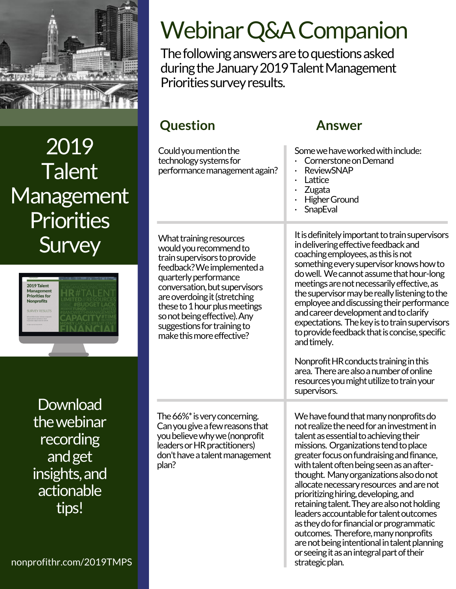

2019 **Talent Management Priorities Survey** 



**Download** thewebinar recording andget insights,and actionable tips!

Webinar Q&A Companion

The following answers are to questions asked during the January 2019 Talent Management Priorities survey results.

# **Question Answer**

| Could you mention the<br>technology systems for<br>performance management again?                                                                                                                                                                                                                                                       | Some we have worked with include:<br>Cornerstone on Demand<br><b>ReviewSNAP</b><br>Lattice<br>Zugata<br><b>Higher Ground</b><br>SnapEval                                                                                                                                                                                                                                                                                                                                                                                                                                                                                                                                                     |
|----------------------------------------------------------------------------------------------------------------------------------------------------------------------------------------------------------------------------------------------------------------------------------------------------------------------------------------|----------------------------------------------------------------------------------------------------------------------------------------------------------------------------------------------------------------------------------------------------------------------------------------------------------------------------------------------------------------------------------------------------------------------------------------------------------------------------------------------------------------------------------------------------------------------------------------------------------------------------------------------------------------------------------------------|
| What training resources<br>would you recommend to<br>train supervisors to provide<br>feedback? We implemented a<br>quarterly performance<br>conversation, but supervisors<br>are overdoing it (stretching<br>these to 1 hour plus meetings<br>so not being effective). Any<br>suggestions for training to<br>make this more effective? | It is definitely important to train supervisors<br>in delivering effective feedback and<br>coaching employees, as this is not<br>something every supervisor knows how to<br>do well. We cannot assume that hour-long<br>meetings are not necessarily effective, as<br>the supervisor may be really listening to the<br>employee and discussing their performance<br>and career development and to clarify<br>expectations. The key is to train supervisors<br>to provide feedback that is concise, specific<br>and timely.<br>Nonprofit HR conducts training in this<br>area. There are also a number of online<br>resources you might utilize to train your<br>supervisors.                 |
| The 66% <sup>*</sup> is very concerning.<br>Can you give a few reasons that<br>you believe why we (nonprofit<br>leaders or HR practitioners)<br>don't have a talent management<br>plan?                                                                                                                                                | We have found that many nonprofits do<br>not realize the need for an investment in<br>talent as essential to achieving their<br>missions. Organizations tend to place<br>greater focus on fundraising and finance,<br>with talent often being seen as an after-<br>thought. Many organizations also do not<br>allocate necessary resources and are not<br>prioritizing hiring, developing, and<br>retaining talent. They are also not holding<br>leaders accountable for talent outcomes<br>as they do for financial or programmatic<br>outcomes. Therefore, many nonprofits<br>are not being intentional in talent planning<br>or seeing it as an integral part of their<br>strategic plan. |

nonprofithr.com/2019TMPS